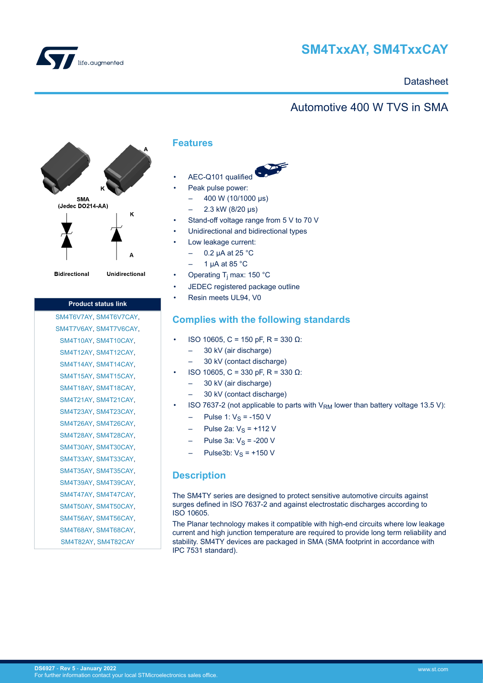

# **SM4TxxAY, SM4TxxCAY**

## **Datasheet**

## Automotive 400 W TVS in SMA



**Bidirectional** 

Unidirectional

## **Product status link**

[SM4T6V7AY](https://www.st.com/en/product/sm4t6v7ay?ecmp=tt9470_gl_link_feb2019&rt=ds&id=DS6927), [SM4T6V7CAY](https://www.st.com/en/product/sm4t6v7cay?ecmp=tt9470_gl_link_feb2019&rt=ds&id=DS6927), [SM4T7V6AY](https://www.st.com/en/product/sm4t7v6ay?ecmp=tt9470_gl_link_feb2019&rt=ds&id=DS6927), [SM4T7V6CAY](https://www.st.com/en/product/sm4t7v6cay?ecmp=tt9470_gl_link_feb2019&rt=ds&id=DS6927), [SM4T10AY](https://www.st.com/en/product/sm4t10ay?ecmp=tt9470_gl_link_feb2019&rt=ds&id=DS6927), [SM4T10CAY,](https://www.st.com/en/product/sm4t10cay?ecmp=tt9470_gl_link_feb2019&rt=ds&id=DS6927) [SM4T12AY](https://www.st.com/en/product/sm4t12ay?ecmp=tt9470_gl_link_feb2019&rt=ds&id=DS6927), [SM4T12CAY,](https://www.st.com/en/product/sm4t12cay?ecmp=tt9470_gl_link_feb2019&rt=ds&id=DS6927) [SM4T14AY](https://www.st.com/en/product/sm4t14ay?ecmp=tt9470_gl_link_feb2019&rt=ds&id=DS6927), [SM4T14CAY,](https://www.st.com/en/product/sm4t14cay?ecmp=tt9470_gl_link_feb2019&rt=ds&id=DS6927) [SM4T15AY](https://www.st.com/en/product/sm4t15ay?ecmp=tt9470_gl_link_feb2019&rt=ds&id=DS6927), [SM4T15CAY,](https://www.st.com/en/product/sm4t15cay?ecmp=tt9470_gl_link_feb2019&rt=ds&id=DS6927) [SM4T18AY](https://www.st.com/en/product/sm4t1ay?ecmp=tt9470_gl_link_feb2019&rt=ds&id=DS6927), [SM4T18CAY,](https://www.st.com/en/product/sm4t18cay?ecmp=tt9470_gl_link_feb2019&rt=ds&id=DS6927) [SM4T21AY](https://www.st.com/en/product/sm4t21ay?ecmp=tt9470_gl_link_feb2019&rt=ds&id=DS6927), [SM4T21CAY,](https://www.st.com/en/product/sm4t21cay?ecmp=tt9470_gl_link_feb2019&rt=ds&id=DS6927) [SM4T23AY](https://www.st.com/en/product/sm4t23ay?ecmp=tt9470_gl_link_feb2019&rt=ds&id=DS6927), [SM4T23CAY,](https://www.st.com/en/product/sm4t23cay?ecmp=tt9470_gl_link_feb2019&rt=ds&id=DS6927) [SM4T26AY](https://www.st.com/en/product/sm4t26ay?ecmp=tt9470_gl_link_feb2019&rt=ds&id=DS6927), [SM4T26CAY,](https://www.st.com/en/product/sm4t26cay?ecmp=tt9470_gl_link_feb2019&rt=ds&id=DS6927) [SM4T28AY](https://www.st.com/en/product/sm4t28ay?ecmp=tt9470_gl_link_feb2019&rt=ds&id=DS6927), [SM4T28CAY,](https://www.st.com/en/product/sm4t28cay?ecmp=tt9470_gl_link_feb2019&rt=ds&id=DS6927) [SM4T30AY](https://www.st.com/en/product/sm4t30ay?ecmp=tt9470_gl_link_feb2019&rt=ds&id=DS6927), [SM4T30CAY,](https://www.st.com/en/product/sm4t30cay?ecmp=tt9470_gl_link_feb2019&rt=ds&id=DS6927) [SM4T33AY](https://www.st.com/en/product/sm4t33ay?ecmp=tt9470_gl_link_feb2019&rt=ds&id=DS6927), [SM4T33CAY,](https://www.st.com/en/product/sm4t33cay?ecmp=tt9470_gl_link_feb2019&rt=ds&id=DS6927) [SM4T35AY](https://www.st.com/en/product/sm4t35ay?ecmp=tt9470_gl_link_feb2019&rt=ds&id=DS6927), [SM4T35CAY,](https://www.st.com/en/product/sm4t35cay?ecmp=tt9470_gl_link_feb2019&rt=ds&id=DS6927) [SM4T39AY](https://www.st.com/en/product/sm4t39ay?ecmp=tt9470_gl_link_feb2019&rt=ds&id=DS6927), [SM4T39CAY,](https://www.st.com/en/product/sm4t39cay?ecmp=tt9470_gl_link_feb2019&rt=ds&id=DS6927) [SM4T47AY](https://www.st.com/en/product/sm4t47ay?ecmp=tt9470_gl_link_feb2019&rt=ds&id=DS6927), [SM4T47CAY,](https://www.st.com/en/product/sm4t47cay?ecmp=tt9470_gl_link_feb2019&rt=ds&id=DS6927) [SM4T50AY](https://www.st.com/en/product/sm4t50ay?ecmp=tt9470_gl_link_feb2019&rt=ds&id=DS6927), [SM4T50CAY,](https://www.st.com/en/product/sm4t50cay?ecmp=tt9470_gl_link_feb2019&rt=ds&id=DS6927) [SM4T56AY](https://www.st.com/en/product/sm4t56ay?ecmp=tt9470_gl_link_feb2019&rt=ds&id=DS6927), [SM4T56CAY,](https://www.st.com/en/product/sm4t56cay?ecmp=tt9470_gl_link_feb2019&rt=ds&id=DS6927) [SM4T68AY](https://www.st.com/en/product/sm4t68ay?ecmp=tt9470_gl_link_feb2019&rt=ds&id=DS6927), [SM4T68CAY,](https://www.st.com/en/product/sm4t68cay?ecmp=tt9470_gl_link_feb2019&rt=ds&id=DS6927) [SM4T82AY](https://www.st.com/en/product/sm4t82ay?ecmp=tt9470_gl_link_feb2019&rt=ds&id=DS6927), [SM4T82CAY](https://www.st.com/en/product/sm4t82cay?ecmp=tt9470_gl_link_feb2019&rt=ds&id=DS6927)

## **Features**

- AEC-Q101 qualified
- Peak pulse power:
	- $-$  400 W (10/1000 μs)
	- 2.3 kW (8/20 μs)
- Stand-off voltage range from 5 V to 70 V
- Unidirectional and bidirectional types
- Low leakage current:
	- 0.2 µA at 25 °C
	- 1  $\mu$ A at 85 °C
- Operating T<sub>j</sub> max: 150 °C
- JEDEC registered package outline
- Resin meets UL94, V0

## **Complies with the following standards**

- ISO 10605, C = 150 pF, R = 330 Ω:
	- 30 kV (air discharge)
	- 30 kV (contact discharge)
- ISO 10605, C = 330 pF, R = 330 Ω:
	- 30 kV (air discharge)
	- 30 kV (contact discharge)
- ISO 7637-2 (not applicable to parts with  $V_{RM}$  lower than battery voltage 13.5 V):
	- $-$  Pulse 1:  $V_S = -150 V$
	- Pulse 2a:  $V_S$  = +112 V
	- Pulse 3a:  $V_S$  = -200 V
	- Pulse3b:  $V_S = +150$  V

## **Description**

The SM4TY series are designed to protect sensitive automotive circuits against surges defined in ISO 7637-2 and against electrostatic discharges according to ISO 10605.

The Planar technology makes it compatible with high-end circuits where low leakage current and high junction temperature are required to provide long term reliability and stability. SM4TY devices are packaged in SMA (SMA footprint in accordance with IPC 7531 standard).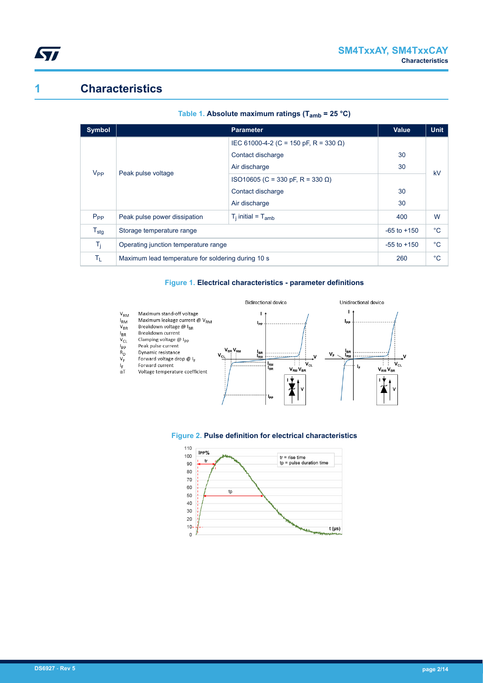

# **1 Characteristics**

| Symbol           |                                                    | Value                                 | <b>Unit</b>  |    |  |
|------------------|----------------------------------------------------|---------------------------------------|--------------|----|--|
| V <sub>PP</sub>  |                                                    | IEC 61000-4-2 (C = 150 pF, R = 330 Ω) |              |    |  |
|                  | Peak pulse voltage                                 | Contact discharge                     | 30           | kV |  |
|                  |                                                    | Air discharge                         | 30           |    |  |
|                  |                                                    | ISO10605 (C = 330 pF, R = 330 Ω)      |              |    |  |
|                  |                                                    | Contact discharge                     | 30           |    |  |
|                  |                                                    | Air discharge                         | 30           |    |  |
| $P_{PP}$         | Peak pulse power dissipation                       | $T_i$ initial = $T_{amb}$             | 400          | W  |  |
| $T_{\text{stg}}$ | Storage temperature range                          | $-65$ to $+150$                       | $^{\circ}$ C |    |  |
| $T_i$            | Operating junction temperature range               | $-55$ to $+150$                       | $^{\circ}C$  |    |  |
| Tī.              | Maximum lead temperature for soldering during 10 s | 260                                   | $^{\circ}C$  |    |  |

#### **Table 1. Absolute maximum ratings (Tamb = 25 °C)**

#### **Figure 1. Electrical characteristics - parameter definitions**



#### **Figure 2. Pulse definition for electrical characteristics**

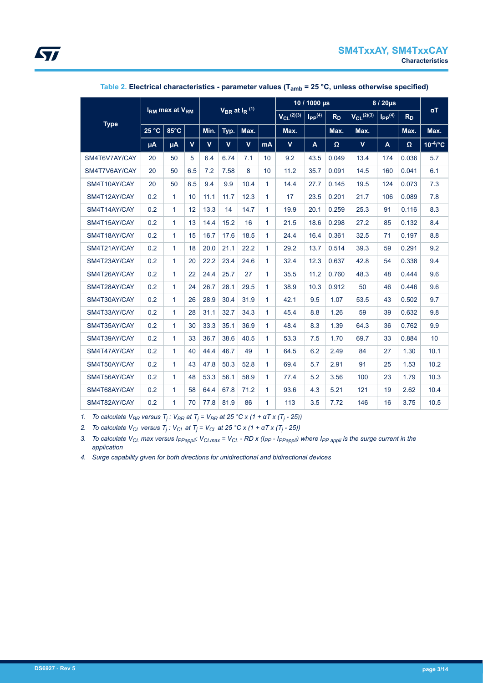|               | $V_{BR}$ at $I_R$ <sup>(1)</sup><br>I <sub>RM</sub> max at V <sub>RM</sub> |                |              |      | 10 / 1000 µs    |                         |                | 8 / 20µs        |                         |          |              |     |       |               |
|---------------|----------------------------------------------------------------------------|----------------|--------------|------|-----------------|-------------------------|----------------|-----------------|-------------------------|----------|--------------|-----|-------|---------------|
|               |                                                                            |                |              |      | $V_{CL}$ (2)(3) | $I_{PP}$ <sup>(4)</sup> | R <sub>D</sub> | $V_{CL}$ (2)(3) | $I_{PP}$ <sup>(4)</sup> | $R_D$    | $\alpha T$   |     |       |               |
| <b>Type</b>   | 25 °C                                                                      | $85^{\circ}$ C |              | Min. | Typ.            | Max.                    |                | Max.            |                         | Max.     | Max.         |     | Max.  | Max.          |
|               | μA                                                                         | μA             | $\mathbf{V}$ | V    | $\mathbf{V}$    | $\mathbf v$             | mA             | $\mathbf{V}$    | A                       | $\Omega$ | $\mathbf{V}$ | A   | Ω     | $10^{-4}$ /°C |
| SM4T6V7AY/CAY | 20                                                                         | 50             | 5            | 6.4  | 6.74            | 7.1                     | 10             | 9.2             | 43.5                    | 0.049    | 13.4         | 174 | 0.036 | 5.7           |
| SM4T7V6AY/CAY | 20                                                                         | 50             | 6.5          | 7.2  | 7.58            | 8                       | 10             | 11.2            | 35.7                    | 0.091    | 14.5         | 160 | 0.041 | 6.1           |
| SM4T10AY/CAY  | 20                                                                         | 50             | 8.5          | 9.4  | 9.9             | 10.4                    | 1              | 14.4            | 27.7                    | 0.145    | 19.5         | 124 | 0.073 | 7.3           |
| SM4T12AY/CAY  | 0.2                                                                        | $\mathbf{1}$   | 10           | 11.1 | 11.7            | 12.3                    | 1              | 17              | 23.5                    | 0.201    | 21.7         | 106 | 0.089 | 7.8           |
| SM4T14AY/CAY  | 0.2                                                                        | 1              | 12           | 13.3 | 14              | 14.7                    | $\mathbf{1}$   | 19.9            | 20.1                    | 0.259    | 25.3         | 91  | 0.116 | 8.3           |
| SM4T15AY/CAY  | 0.2                                                                        | 1              | 13           | 14.4 | 15.2            | 16                      | 1              | 21.5            | 18.6                    | 0.298    | 27.2         | 85  | 0.132 | 8.4           |
| SM4T18AY/CAY  | 0.2                                                                        | 1              | 15           | 16.7 | 17.6            | 18.5                    | 1              | 24.4            | 16.4                    | 0.361    | 32.5         | 71  | 0.197 | 8.8           |
| SM4T21AY/CAY  | 0.2                                                                        | 1              | 18           | 20.0 | 21.1            | 22.2                    | 1              | 29.2            | 13.7                    | 0.514    | 39.3         | 59  | 0.291 | 9.2           |
| SM4T23AY/CAY  | 0.2                                                                        | 1              | 20           | 22.2 | 23.4            | 24.6                    | $\mathbf{1}$   | 32.4            | 12.3                    | 0.637    | 42.8         | 54  | 0.338 | 9.4           |
| SM4T26AY/CAY  | 0.2                                                                        | 1              | 22           | 24.4 | 25.7            | 27                      | 1              | 35.5            | 11.2                    | 0.760    | 48.3         | 48  | 0.444 | 9.6           |
| SM4T28AY/CAY  | 0.2                                                                        | 1              | 24           | 26.7 | 28.1            | 29.5                    | $\mathbf{1}$   | 38.9            | 10.3                    | 0.912    | 50           | 46  | 0.446 | 9.6           |
| SM4T30AY/CAY  | 0.2                                                                        | 1              | 26           | 28.9 | 30.4            | 31.9                    | 1              | 42.1            | 9.5                     | 1.07     | 53.5         | 43  | 0.502 | 9.7           |
| SM4T33AY/CAY  | 0.2                                                                        | 1              | 28           | 31.1 | 32.7            | 34.3                    | $\mathbf{1}$   | 45.4            | 8.8                     | 1.26     | 59           | 39  | 0.632 | 9.8           |
| SM4T35AY/CAY  | 0.2                                                                        | $\mathbf{1}$   | 30           | 33.3 | 35.1            | 36.9                    | 1              | 48.4            | 8.3                     | 1.39     | 64.3         | 36  | 0.762 | 9.9           |
| SM4T39AY/CAY  | 0.2                                                                        | 1              | 33           | 36.7 | 38.6            | 40.5                    | $\mathbf{1}$   | 53.3            | 7.5                     | 1.70     | 69.7         | 33  | 0.884 | 10            |
| SM4T47AY/CAY  | 0.2                                                                        | 1              | 40           | 44.4 | 46.7            | 49                      | 1              | 64.5            | 6.2                     | 2.49     | 84           | 27  | 1.30  | 10.1          |
| SM4T50AY/CAY  | 0.2                                                                        | 1              | 43           | 47.8 | 50.3            | 52.8                    | 1              | 69.4            | 5.7                     | 2.91     | 91           | 25  | 1.53  | 10.2          |
| SM4T56AY/CAY  | 0.2                                                                        | 1              | 48           | 53.3 | 56.1            | 58.9                    | 1              | 77.4            | 5.2                     | 3.56     | 100          | 23  | 1.79  | 10.3          |
| SM4T68AY/CAY  | 0.2                                                                        | $\mathbf{1}$   | 58           | 64.4 | 67.8            | 71.2                    | $\mathbf{1}$   | 93.6            | 4.3                     | 5.21     | 121          | 19  | 2.62  | 10.4          |
| SM4T82AY/CAY  | 0.2                                                                        | 1              | 70           | 77.8 | 81.9            | 86                      | 1              | 113             | 3.5                     | 7.72     | 146          | 16  | 3.75  | 10.5          |

### **Table 2. Electrical characteristics - parameter values (Tamb = 25 °C, unless otherwise specified)**

*1. To calculate VBR versus T<sup>j</sup> : VBR at T<sup>j</sup> = VBR at 25 °C x (1 + αT x (T<sup>j</sup> - 25))*

*2. To calculate VCL versus T<sup>j</sup> : VCL at T<sup>j</sup> = VCL at 25 °C x (1 + αT x (T<sup>j</sup> - 25))*

3. To calculate  $V_{CL}$  max versus  $I_{PPappli}$ :  $V_{CLmax}$  =  $V_{CL}$  - RD x ( $I_{PP}$  -  $I_{PPappli}$ ) where  $I_{PPappli}$  is the surge current in the *application*

*4. Surge capability given for both directions for unidirectional and bidirectional devices*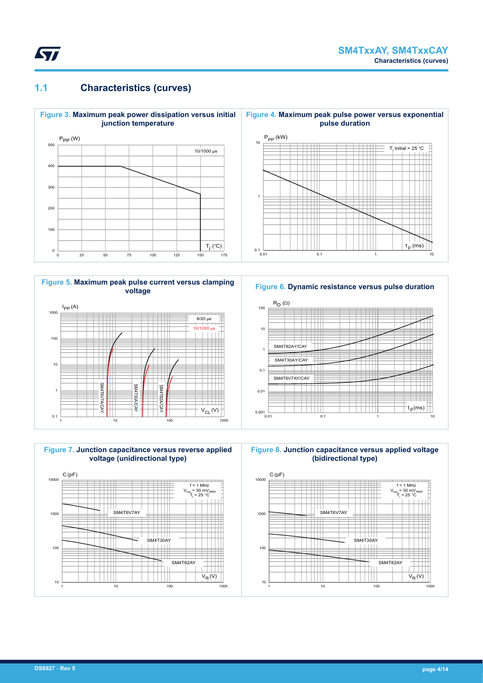

## **1.1 Characteristics (curves)**



**Figure 5. Maximum peak pulse current versus clamping voltage**









**Figure 8. Junction capacitance versus applied voltage (bidirectional type)**

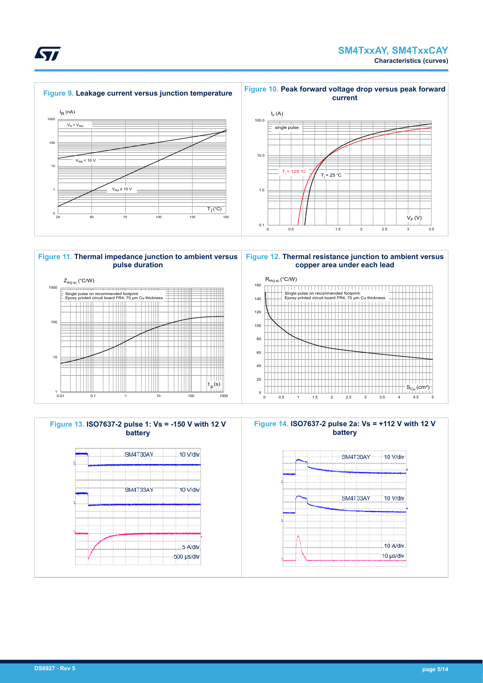



20 40 60

t <sup>p</sup>(s)



|  | $_{\text{NW}}$ $\sim$ |  |
|--|-----------------------|--|
|  |                       |  |
|  |                       |  |
|  |                       |  |
|  |                       |  |
|  |                       |  |

10

**ST** 

 $S_{Cu}$  (cm<sup>2</sup>)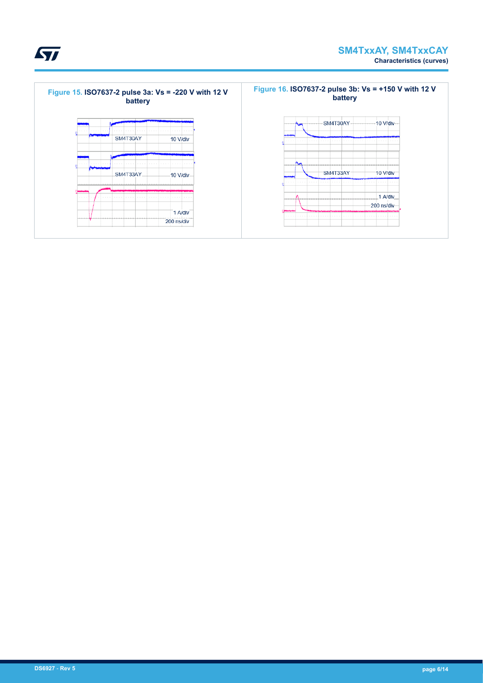



 $\sqrt{2}$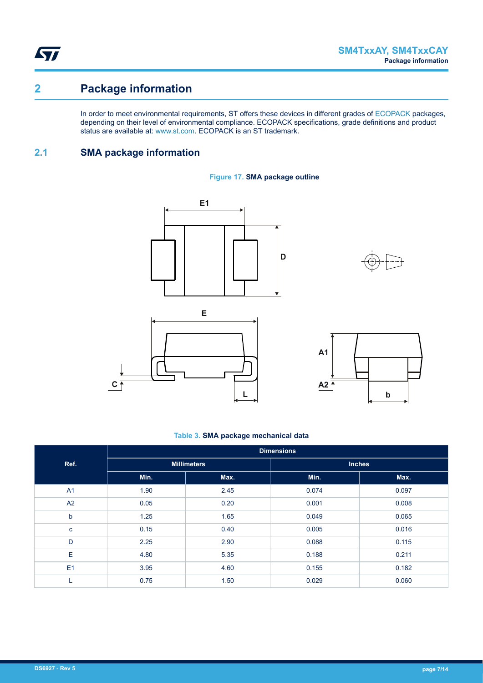**STI** 

# **2 Package information**

In order to meet environmental requirements, ST offers these devices in different grades of [ECOPACK](https://www.st.com/ecopack) packages, depending on their level of environmental compliance. ECOPACK specifications, grade definitions and product status are available at: [www.st.com.](http://www.st.com) ECOPACK is an ST trademark.

## **2.1 SMA package information**











#### **Table 3. SMA package mechanical data**

|                | <b>Dimensions</b> |                    |               |       |  |  |
|----------------|-------------------|--------------------|---------------|-------|--|--|
| Ref.           |                   | <b>Millimeters</b> | <b>Inches</b> |       |  |  |
|                | Min.              | Max.               | Min.          | Max.  |  |  |
| A <sub>1</sub> | 1.90              | 2.45               | 0.074         | 0.097 |  |  |
| A2             | 0.05              | 0.20               | 0.001         | 0.008 |  |  |
| $\mathsf b$    | 1.25              | 1.65               | 0.049         | 0.065 |  |  |
| $\mathbf{C}$   | 0.15              | 0.40               | 0.005         | 0.016 |  |  |
| D              | 2.25              | 2.90               | 0.088         | 0.115 |  |  |
| E              | 4.80              | 5.35               | 0.188         | 0.211 |  |  |
| E1             | 3.95              | 4.60               | 0.155         | 0.182 |  |  |
| ┗              | 0.75              | 1.50               | 0.029         | 0.060 |  |  |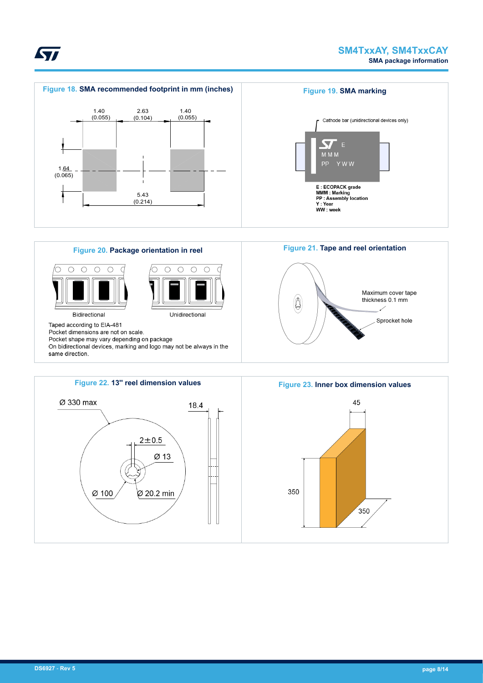

45

350



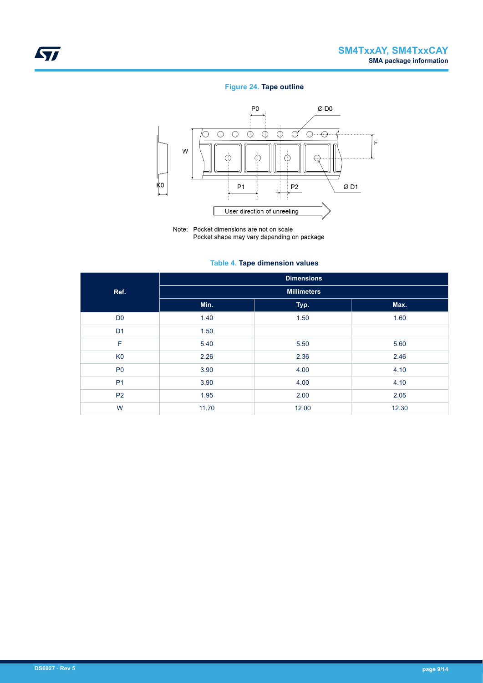## **Figure 24. Tape outline**



Note: Pocket dimensions are not on scale Pocket shape may vary depending on package

### **Table 4. Tape dimension values**

|                |                    | <b>Dimensions</b> |       |  |  |  |  |
|----------------|--------------------|-------------------|-------|--|--|--|--|
| Ref.           | <b>Millimeters</b> |                   |       |  |  |  |  |
|                | Min.               | Typ.              | Max.  |  |  |  |  |
| D <sub>0</sub> | 1.40               | 1.50              | 1.60  |  |  |  |  |
| D <sub>1</sub> | 1.50               |                   |       |  |  |  |  |
| F              | 5.40               | 5.50              | 5.60  |  |  |  |  |
| K <sub>0</sub> | 2.26               | 2.36              | 2.46  |  |  |  |  |
| P <sub>0</sub> | 3.90               | 4.00              | 4.10  |  |  |  |  |
| P <sub>1</sub> | 3.90               | 4.00              | 4.10  |  |  |  |  |
| P <sub>2</sub> | 1.95               | 2.00              | 2.05  |  |  |  |  |
| W              | 11.70              | 12.00             | 12.30 |  |  |  |  |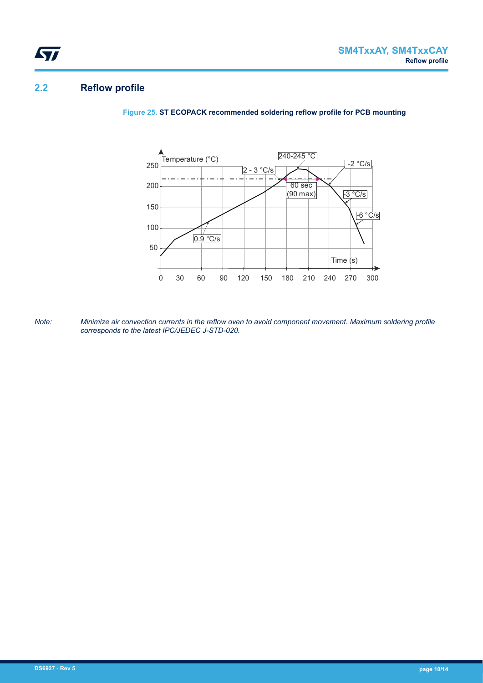## **2.2 Reflow profile**

**Figure 25. ST ECOPACK recommended soldering reflow profile for PCB mounting**



*Note: Minimize air convection currents in the reflow oven to avoid component movement. Maximum soldering profile corresponds to the latest IPC/JEDEC J-STD-020.*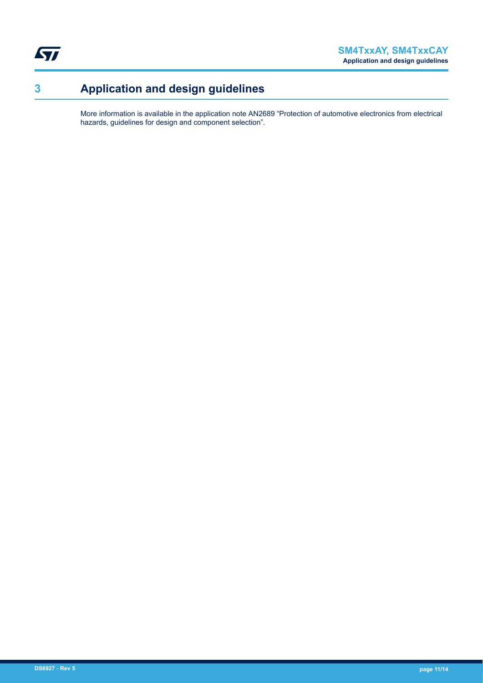$\sqrt{2}$ 

# **3 Application and design guidelines**

More information is available in the application note AN2689 "Protection of automotive electronics from electrical hazards, guidelines for design and component selection".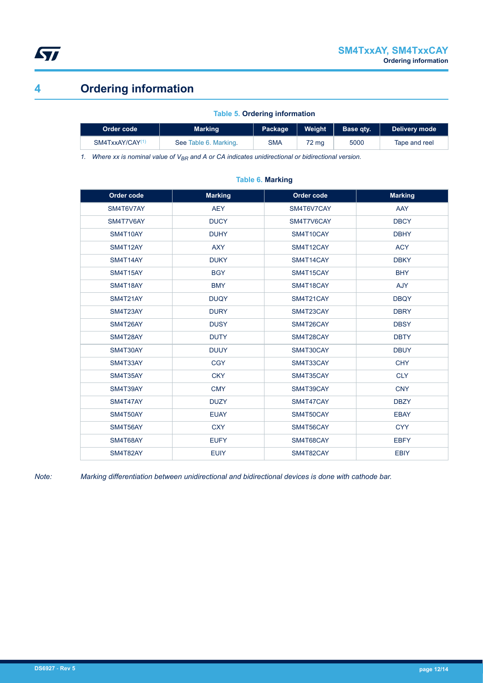

# **4 Ordering information**

### **Table 5. Ordering information**

| Order code                  | Marking               | Package | Weight          | Base atv. | Delivery mode |  |
|-----------------------------|-----------------------|---------|-----------------|-----------|---------------|--|
| SM4TxxAY/CAY <sup>(1)</sup> | See Table 6. Marking. | SMA     | $72 \text{ ma}$ | 5000      | Tape and reel |  |

*1. Where xx is nominal value of VBR and A or CA indicates unidirectional or bidirectional version.*

| Order code | <b>Marking</b>           | Order code | <b>Marking</b> |
|------------|--------------------------|------------|----------------|
| SM4T6V7AY  | <b>AEY</b>               | SM4T6V7CAY | AAY            |
| SM4T7V6AY  | <b>DUCY</b>              | SM4T7V6CAY | <b>DBCY</b>    |
| SM4T10AY   | <b>DUHY</b>              | SM4T10CAY  | <b>DBHY</b>    |
| SM4T12AY   | <b>AXY</b>               | SM4T12CAY  | <b>ACY</b>     |
| SM4T14AY   | <b>DUKY</b>              | SM4T14CAY  | <b>DBKY</b>    |
| SM4T15AY   | <b>BGY</b>               | SM4T15CAY  | <b>BHY</b>     |
| SM4T18AY   | <b>BMY</b>               | SM4T18CAY  | AJY            |
| SM4T21AY   | <b>DUQY</b>              | SM4T21CAY  | <b>DBQY</b>    |
| SM4T23AY   | <b>DURY</b>              | SM4T23CAY  | <b>DBRY</b>    |
| SM4T26AY   | <b>DUSY</b>              | SM4T26CAY  | <b>DBSY</b>    |
| SM4T28AY   | <b>DUTY</b>              | SM4T28CAY  | <b>DBTY</b>    |
| SM4T30AY   | <b>DUUY</b>              | SM4T30CAY  | <b>DBUY</b>    |
| SM4T33AY   | CGY                      | SM4T33CAY  | <b>CHY</b>     |
| SM4T35AY   | <b>CKY</b>               | SM4T35CAY  | <b>CLY</b>     |
| SM4T39AY   | <b>CMY</b>               | SM4T39CAY  | <b>CNY</b>     |
| SM4T47AY   | <b>DUZY</b>              | SM4T47CAY  | <b>DBZY</b>    |
| SM4T50AY   | <b>EUAY</b>              | SM4T50CAY  | <b>EBAY</b>    |
| SM4T56AY   | <b>CXY</b>               | SM4T56CAY  | <b>CYY</b>     |
| SM4T68AY   | <b>EUFY</b>              | SM4T68CAY  | <b>EBFY</b>    |
| SM4T82AY   | <b>EUIY</b><br>SM4T82CAY |            | <b>EBIY</b>    |

### **Table 6. Marking**

*Note: Marking differentiation between unidirectional and bidirectional devices is done with cathode bar.*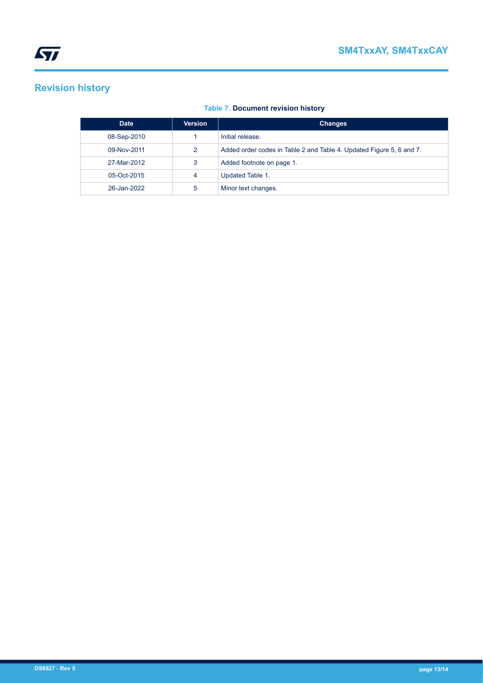# **Revision history**

## **Table 7. Document revision history**

| <b>Date</b> | <b>Version</b> | <b>Changes</b>                                                       |
|-------------|----------------|----------------------------------------------------------------------|
| 08-Sep-2010 |                | Initial release.                                                     |
| 09-Nov-2011 | 2              | Added order codes in Table 2 and Table 4. Updated Figure 5, 6 and 7. |
| 27-Mar-2012 | 3              | Added footnote on page 1.                                            |
| 05-Oct-2015 | 4              | Updated Table 1.                                                     |
| 26-Jan-2022 | 5              | Minor text changes.                                                  |